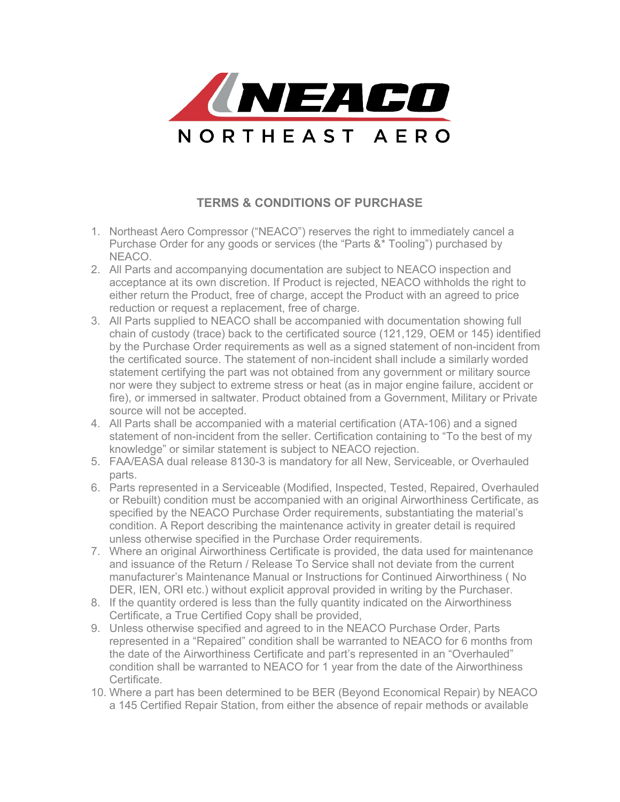

## **TERMS & CONDITIONS OF PURCHASE**

- 1. Northeast Aero Compressor ("NEACO") reserves the right to immediately cancel a Purchase Order for any goods or services (the "Parts &\* Tooling") purchased by NEACO.
- 2. All Parts and accompanying documentation are subject to NEACO inspection and acceptance at its own discretion. If Product is rejected, NEACO withholds the right to either return the Product, free of charge, accept the Product with an agreed to price reduction or request a replacement, free of charge.
- 3. All Parts supplied to NEACO shall be accompanied with documentation showing full chain of custody (trace) back to the certificated source (121,129, OEM or 145) identified by the Purchase Order requirements as well as a signed statement of non-incident from the certificated source. The statement of non-incident shall include a similarly worded statement certifying the part was not obtained from any government or military source nor were they subject to extreme stress or heat (as in major engine failure, accident or fire), or immersed in saltwater. Product obtained from a Government, Military or Private source will not be accepted.
- 4. All Parts shall be accompanied with a material certification (ATA-106) and a signed statement of non-incident from the seller. Certification containing to "To the best of my knowledge" or similar statement is subject to NEACO rejection.
- 5. FAA/EASA dual release 8130-3 is mandatory for all New, Serviceable, or Overhauled parts.
- 6. Parts represented in a Serviceable (Modified, Inspected, Tested, Repaired, Overhauled or Rebuilt) condition must be accompanied with an original Airworthiness Certificate, as specified by the NEACO Purchase Order requirements, substantiating the material's condition. A Report describing the maintenance activity in greater detail is required unless otherwise specified in the Purchase Order requirements.
- 7. Where an original Airworthiness Certificate is provided, the data used for maintenance and issuance of the Return / Release To Service shall not deviate from the current manufacturer's Maintenance Manual or Instructions for Continued Airworthiness ( No DER, IEN, ORI etc.) without explicit approval provided in writing by the Purchaser.
- 8. If the quantity ordered is less than the fully quantity indicated on the Airworthiness Certificate, a True Certified Copy shall be provided,
- 9. Unless otherwise specified and agreed to in the NEACO Purchase Order, Parts represented in a "Repaired" condition shall be warranted to NEACO for 6 months from the date of the Airworthiness Certificate and part's represented in an "Overhauled" condition shall be warranted to NEACO for 1 year from the date of the Airworthiness Certificate.
- 10. Where a part has been determined to be BER (Beyond Economical Repair) by NEACO a 145 Certified Repair Station, from either the absence of repair methods or available